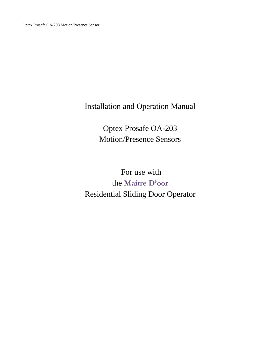Optex Prosafe OA-203 Motion/Presence Sensor

.

# Installation and Operation Manual

Optex Prosafe OA-203 Motion/Presence Sensors

For use with the **Maitre D'oor** Residential Sliding Door Operator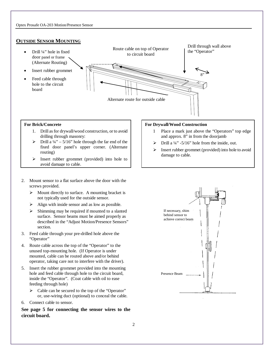## **OUTSIDE SENSOR MOUNTING**



#### **For Brick/Concrete**

- 1. Drill as for drywall/wood construction, or to avoid drilling through masonry:
- $\triangleright$  Drill a 1/4" 5/16" hole through the far end of the fixed door panel's upper corner. (Alternate routing)
- $\triangleright$  Insert rubber grommet (provided) into hole to avoid damage to cable.
- 2. Mount sensor to a flat surface above the door with the screws provided.
	- $\triangleright$  Mount directly to surface. A mounting bracket is not typically used for the outside sensor.
	- $\triangleright$  Align with inside sensor and as low as possible.
	- Shimming may be required if mounted to a slanted surface. Sensor beams must be aimed properly as described in the "Adjust Motion/Presence Sensors" section.
- 3. Feed cable through your pre-drilled hole above the "Operator"
- 4. Route cable across the top of the "Operator" to the unused top-mounting hole. (If Operator is under mounted, cable can be routed above and/or behind operator, taking care not to interfere with the driver).
- 5. Insert the rubber grommet provided into the mounting hole and feed cable through hole to the circuit board, inside the "Operator". (Coat cable with oil to ease feeding through hole)
	- $\triangleright$  Cable can be secured to the top of the "Operator" or, use-wiring duct (optional) to conceal the cable.
- 6. Connect cable to sensor.

**See page 5 for connecting the sensor wires to the circuit board.**

#### **For Drywall/Wood Construction**

- 1 Place a mark just above the "Operators" top edge and approx. 8" in from the doorjamb
- Drill a ¼" -5/16" hole from the inside, out.
- Insert rubber grommet (provided) into hole to avoid damage to cable.

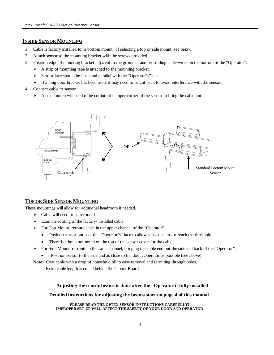## **INSIDE SENSOR MOUNTING**

- 1. Cable is factory installed for a bottom mount. If selecting a top or side mount, see below.
- 2. Attach sensor to the mounting bracket with the screws provided.
- 3. Position edge of mounting bracket adjacent to the grommet and protruding cable wires on the bottom of the "Operator".
	- $\triangleright$  A strip of mounting tape is attached to the mounting bracket.
	- $\triangleright$  Sensor face should be flush and parallel with the "Operator's" face.
	- $\triangleright$  If a long door bracket has been used, it may need to be cut back to avoid interference with the sensor.
- 4. Connect cable to sensor.
	- $\triangleright$  A small notch will need to be cut into the upper corner of the sensor to bring the cable out.



# **TOP OR SIDE SENSOR MOUNTING**

These mountings will allow for additional headroom if needed.

- > Cable will need to be rerouted.
- $\triangleright$  Examine routing of the factory- installed cable.
- For Top Mount, reroute cable in the upper channel of the "Operator".
	- Position sensor out past the "Operator's" face to allow sensor beams to reach the threshold.
	- There is a breakout notch on the top of the sensor cover for the cable.
- $\triangleright$  For Side Mount, re-route in the same channel, bringing the cable end out the side and back of the "Operator".
	- Position sensor to the side and as close to the door /Operator as possible (see above).

Note: Coat cable with a drop of household oil to ease removal and rerouting through holes.

Extra cable length is coiled behind the Circuit Board.

**Adjusting the sensor beams is done after the "Operator if fully installed** 

**Detailed instructions for adjusting the beams start on page 4 of this manual**

**PLEASE READ THE OPTEX SENSOR INSTRUCTIONS CAREFULLY! IMPROPER SET-UP WILL AFFECT THE SAFETY OF YOUR DOOR AND OPERATOR**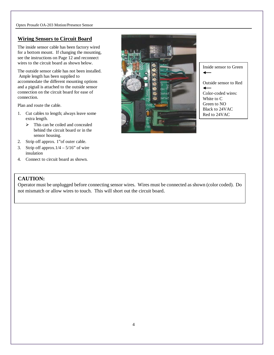## **Wiring Sensors to Circuit Board**

The inside sensor cable has been factory wired for a bottom mount. If changing the mounting, see the instructions on Page 12 and reconnect wires to the circuit board as shown below.

The outside sensor cable has not been installed. Ample length has been supplied to accommodate the different mounting options and a pigtail is attached to the outside sensor connection on the circuit board for ease of connection.

Plan and route the cable.

- 1. Cut cables to length; always leave some extra length.
	- $\triangleright$  This can be coiled and concealed behind the circuit board or in the sensor housing.
- 2. Strip off approx. 1"of outer cable.
- 3. Strip off approx. $1/4 5/16$ " of wire insulation
- 4. Connect to circuit board as shown.

# **CAUTION:**

Operator must be unplugged before connecting sensor wires. Wires must be connected as shown (color coded). Do not mismatch or allow wires to touch. This will short out the circuit board.



Inside sensor to Green

Outside sensor to Red  $\overline{\phantom{0}}$ Color-coded wires:

White to C Green to NO Black to 24VAC Red to 24VAC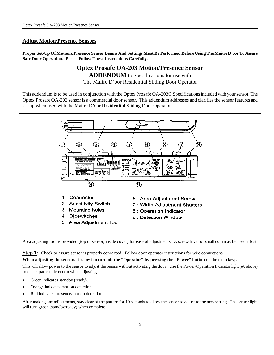### **Adjust Motion/Presence Sensors**

**Proper Set-Up Of Motions/Presence Sensor Beams And Settings Must Be Performed Before Using The Maitre D'oor To Assure Safe Door Operation. Please Follow These Instructions Carefully.**

# **Optex Prosafe OA-203 Motion/Presence Sensor**

**ADDENDUM** to Specifications for use with The Maitre D'oor Residential Sliding Door Operator

This addendum is to be used in conjunction with the Optex Prosafe OA-203C Specifications included with your sensor. The Optex Prosafe OA-203 sensor is a commercial door sensor. This addendum addresses and clarifies the sensor features and set-up when used with the Maitre D'oor **Residential** Sliding Door Operator.



Area adjusting tool is provided (top of sensor, inside cover) for ease of adjustments. A screwdriver or small coin may be used if lost.

**Step 1**: Check to assure sensor is properly connected. Follow door operator instructions for wire connections.

**When adjusting the sensors it is best to turn off the "Operator" by pressing the "Power" button** on the main keypad. This will allow power to the sensor to adjust the beams without activating the door. Use the Power/Operation Indicator light (#8 above) to check pattern detection when adjusting.

- Green indicates standby (ready).
- Orange indicates motion detection
- Red indicates presence/motion detection.

After making any adjustments, stay clear of the pattern for 10 seconds to allow the sensor to adjust to the new setting. The sensor light will turn green (standby/ready) when complete.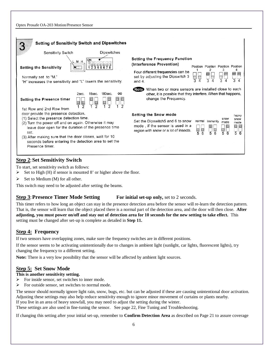| <b>Setting of Sensitivity Switch and Dipswitches</b>                                                                                                                                                                                                                                  |                    |                                                                                                                                                                          |                                                                       |              |
|---------------------------------------------------------------------------------------------------------------------------------------------------------------------------------------------------------------------------------------------------------------------------------------|--------------------|--------------------------------------------------------------------------------------------------------------------------------------------------------------------------|-----------------------------------------------------------------------|--------------|
| Sensitivity Switch                                                                                                                                                                                                                                                                    | <b>Dipswitches</b> |                                                                                                                                                                          |                                                                       |              |
| ON<br>M H<br><b>Setting the Sensitivity</b><br>Normally set to "M."<br>"H" increases the sensitivity and "L" lowers the sensitivity.                                                                                                                                                  |                    | <b>Setting the Frequency Function</b><br>(Interference Prevention)<br>Four different frequencies can be<br>set by adjusting the Dipswitch 3<br>$\frac{1}{3}$<br>and $4.$ | Position Position Position Position<br>3<br>3                         |              |
| When two or more sensors are installed close to each<br>(Note)<br>180sec.<br>other, it is possible that they interfere. When that happens,<br>$\infty$<br>2sec.<br>15sec.<br>change the Frequency.<br><b>Setting the Presence timer</b><br>$\frac{1}{2}$<br>1st Row and 2nd Row from  |                    |                                                                                                                                                                          |                                                                       |              |
| door provide the presence detection.                                                                                                                                                                                                                                                  |                    | <b>Setting the Snow mode</b>                                                                                                                                             |                                                                       | heavy        |
| (1) Select the presence detection time.<br>(2) Turn the power off and on again. Otherwise it may<br>leave door open for the duration of the presence time<br>set.<br>(3) After making sure that the door closes, wait for 10<br>seconds before entering the detection area to set the |                    | Set the Dipswitch5 and 6 to snow<br>normal<br>mode, if the sensor is used in a<br>$\frac{1}{5}$<br>$\frac{5}{6}$<br>region with snow or a lot of insects.                | snow<br>Immunity<br>mode<br>$\frac{1}{6}$<br>$\overline{5}$<br>6<br>5 | snow<br>mode |
| Presence timer.                                                                                                                                                                                                                                                                       |                    |                                                                                                                                                                          |                                                                       |              |

# **Step 2**:**Set Sensitivity Switch**

To start, set sensitivity switch as follows:

- $\triangleright$  Set to High (H) if sensor is mounted 8' or higher above the floor.
- $\triangleright$  Set to Medium (M) for all other.

This switch may need to be adjusted after setting the beams.

## **Step 3: Presence Timer Mode Setting For initial set-up only, set to 2 seconds.**

This timer refers to how long an object can stay in the presence detection area before the sensor will re-learn the detection pattern. That is, the sensor will learn that the object placed there is a normal part of the detection area, and the door will then close. **After adjusting, you must power on/off and stay out of detection area for 10 seconds for the new setting to take effect.** This setting must be changed after set-up is complete as detailed in **Step 11.**

# **Step 4: Frequency**

If two sensors have overlapping zones, make sure the frequency switches are in different positions.

If the sensor seems to be activating unintentionally due to changes in ambient light (sunlight, car lights, fluorescent lights), try changing the frequency to a different setting.

**Note:** There is a very low possibility that the sensor will be affected by ambient light sources.

# **Step 5: Set Snow Mode**

#### **This is another sensitivity setting.**

- $\triangleright$  For inside sensor, set switches to inner mode.
- $\triangleright$  For outside sensor, set switches to normal mode.

The sensor should normally ignore light rain, snow, bugs, etc. but can be adjusted if these are causing unintentional door activation. Adjusting these settings may also help reduce sensitivity enough to ignore minor movement of curtains or plants nearby. If you live in an area of heavy snowfall, you may need to adjust the setting during the winter.

These settings are also used in fine-tuning the sensor. See page 22, Fine Tuning and Troubleshooting.

If changing this setting after your initial set-up, remember to **Confirm Detection Area** as described on Page 21 to assure coverage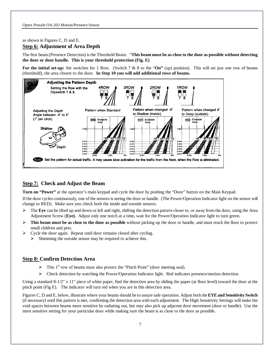as shown in Figures C, D and E.

## **Step 6: Adjustment of Area Depth**

The first beam (Presence Detection) is the Threshold Beam. "**This beam must be as close to the door as possible without detecting the door or door handle. This is your threshold protection (Fig. E)**

**For the initial set-up:** Set switches for 1 Row. (Switch 7 & 8 to the "**On"** (up) position). This will set just one row of beams (threshold), the area closest to the door. **In Step 10 you will add additional rows of beams.**



## **Step 7: Check and Adjust the Beam**

**Turn on "Power"** at the operator's main keypad and cycle the door by pushing the "Door" button on the Main Keypad.

If the door cycles continuously, one of the sensors is seeing the door or handle. (The Power/Operation Indicator light on the sensor will change to RED). Make sure you check both the inside and outside sensors.

- The **Eye** can be tilted up and down or left and right, shifting the detection pattern closer to, or away from the door, using the Area Adjustment Screw (**Eye).** Adjust only one notch at a time, wait for the Power/Operation Indicator light to turn green.
- **This beam must be as close to the door as possible** without picking up the door or handle, and must reach the floor to protect small children and pets.
- Cycle the door again. Repeat until door remains closed after cycling.
	- $\triangleright$  Shimming the outside sensor may be required to achieve this.

#### **Step 8: Confirm Detection Area**

- $\triangleright$  This 1<sup>st</sup> row of beams must also protect the "Pinch Point" (door meeting seal).
- Check detection by watching the Power/Operation Indicator light. Red indicates presence/motion detection.

Using a standard 8-1/2" x 11" piece of white paper, find the detection area by sliding the paper (at floor level) toward the door at the pinch point (Fig E). The indicator will turn red when you are in this detection area.

Figures C, D and E, below, illustrate where your beams should be to assure safe operation. Adjust both the **EYE and Sensitivity Switch** (if necessary) until this pattern is met, confirming the detection area with each adjustment. The High Sensitivity Settings will make the void spaces between beams more sensitive by radiating out, but may also pick up adjacent door movement (door or handle). Use the most sensitive setting for your particular door while making sure the beam is as close to the door as possible.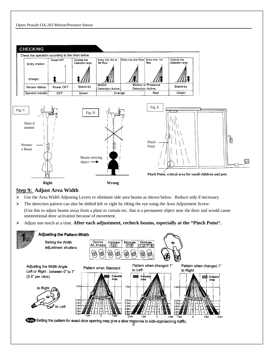



# **Step 9: Adjust Area Width**

- $\triangleright$  Use the Area Width Adjusting Levers to eliminate side area beams as shown below. Reduce only if necessary.
- $\triangleright$  The detection pattern can also be shifted left or right by tilting the eye using the Area Adjustment Screw.

(Use this to adjust beams away from a plant or curtain etc. that is a permanent object near the door and would cause unintentional door activation because of movement.

Adjust one notch at a time. **After each adjustment, recheck beams, especially at the "Pinch Point".**

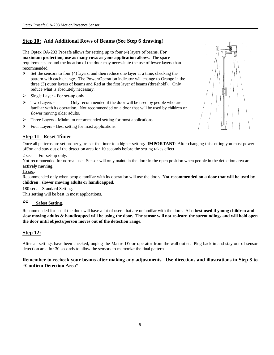# **Step 10: Add Additional Rows of Beams (See Step 6 drawing**)

The Optex OA-203 Prosafe allows for setting up to four (4) layers of beams. **For maximum protection, use as many rows as your application allows.** The space requirements around the location of the door may necessitate the use of fewer layers than recommended

- $\triangleright$  Set the sensors to four (4) layers, and then reduce one layer at a time, checking the pattern with each change. The Power/Operation indicator will change to Orange in the three (3) outer layers of beams and Red at the first layer of beams (threshold). Only reduce what is absolutely necessary.
- $\triangleright$  Single Layer For set-up only
- Two Layers Only recommended if the door will be used by people who are familiar with its operation. Not recommended on a door that will be used by children or slower moving older adults.
- > Three Layers Minimum recommended setting for most applications.
- Four Layers Best setting for most applications.

# **Step 11**: **Reset Timer**

Once all patterns are set properly, re-set the timer to a higher setting**. IMPORTANT**: After changing this setting you must power off/on and stay out of the detection area for 10 seconds before the setting takes effect.

#### 2 sec. For set-up only.

Not recommended for normal use. Sensor will only maintain the door in the open position when people in the detection area are **actively moving.**

#### 15 sec.

Recommended only when people familiar with its operation will use the door**. Not recommended on a door that will be used by children , slower moving adults or handicapped.**

#### 180 sec. Standard Setting.

This setting will be best in most applications.

# °° **Safest Setting.**

Recommended for use if the door will have a lot of users that are unfamiliar with the door. Also **best used if young children and slow moving adults & handicapped will be using the door. The sensor will not re-learn the surroundings and will hold open the door until objects/person moves out of the detection range.**

## **Step 12:**

After all settings have been checked, unplug the Maitre D'oor operator from the wall outlet. Plug back in and stay out of sensor detection area for 30 seconds to allow the sensors to memorize the final pattern.

**Remember to recheck your beams after making any adjustments. Use directions and illustrations in Step 8 to "Confirm Detection Area".**